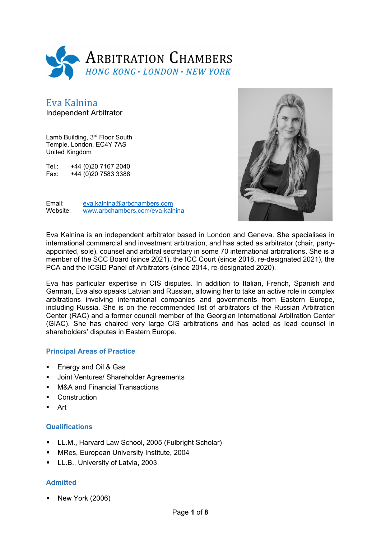

Eva Kalnina Independent Arbitrator

Lamb Building, 3<sup>rd</sup> Floor South Temple, London, EC4Y 7AS United Kingdom

Tel.: +44 (0)20 7167 2040 Fax: +44 (0)20 7583 3388



Email: eva.kalnina@arbchambers.com Website: www.arbchambers.com/eva-kalnina

Eva Kalnina is an independent arbitrator based in London and Geneva. She specialises in international commercial and investment arbitration, and has acted as arbitrator (chair, partyappointed, sole), counsel and arbitral secretary in some 70 international arbitrations. She is a member of the SCC Board (since 2021), the ICC Court (since 2018, re-designated 2021), the PCA and the ICSID Panel of Arbitrators (since 2014, re-designated 2020).

Eva has particular expertise in CIS disputes. In addition to Italian, French, Spanish and German, Eva also speaks Latvian and Russian, allowing her to take an active role in complex arbitrations involving international companies and governments from Eastern Europe, including Russia. She is on the recommended list of arbitrators of the Russian Arbitration Center (RAC) and a former council member of the Georgian International Arbitration Center (GIAC). She has chaired very large CIS arbitrations and has acted as lead counsel in shareholders' disputes in Eastern Europe.

#### **Principal Areas of Practice**

- **Energy and Oil & Gas**
- Joint Ventures/ Shareholder Agreements
- M&A and Financial Transactions
- **Construction**
- Art

#### **Qualifications**

- LL.M., Harvard Law School, 2005 (Fulbright Scholar)
- MRes, European University Institute, 2004
- **LL.B., University of Latvia, 2003**

#### **Admitted**

New York (2006)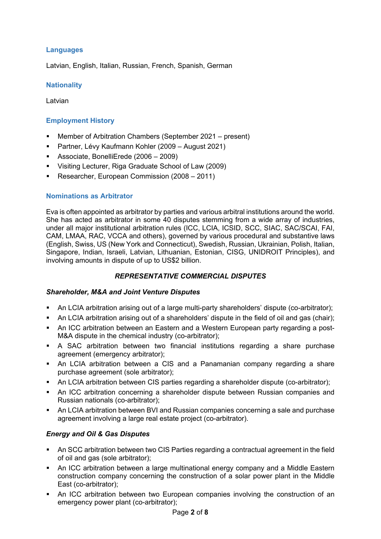## **Languages**

Latvian, English, Italian, Russian, French, Spanish, German

#### **Nationality**

Latvian

## **Employment History**

- Member of Arbitration Chambers (September 2021 present)
- Partner, Lévy Kaufmann Kohler (2009 August 2021)
- Associate, BonelliErede (2006 2009)
- Visiting Lecturer, Riga Graduate School of Law (2009)
- **Researcher, European Commission (2008 2011)**

## **Nominations as Arbitrator**

Eva is often appointed as arbitrator by parties and various arbitral institutions around the world. She has acted as arbitrator in some 40 disputes stemming from a wide array of industries, under all major institutional arbitration rules (ICC, LCIA, ICSID, SCC, SIAC, SAC/SCAI, FAI, CAM, LMAA, RAC, VCCA and others), governed by various procedural and substantive laws (English, Swiss, US (New York and Connecticut), Swedish, Russian, Ukrainian, Polish, Italian, Singapore, Indian, Israeli, Latvian, Lithuanian, Estonian, CISG, UNIDROIT Principles), and involving amounts in dispute of up to US\$2 billion.

## *REPRESENTATIVE COMMERCIAL DISPUTES*

## *Shareholder, M&A and Joint Venture Disputes*

- An LCIA arbitration arising out of a large multi-party shareholders' dispute (co-arbitrator);
- An LCIA arbitration arising out of a shareholders' dispute in the field of oil and gas (chair);
- An ICC arbitration between an Eastern and a Western European party regarding a post-M&A dispute in the chemical industry (co-arbitrator);
- A SAC arbitration between two financial institutions regarding a share purchase agreement (emergency arbitrator);
- An LCIA arbitration between a CIS and a Panamanian company regarding a share purchase agreement (sole arbitrator);
- An LCIA arbitration between CIS parties regarding a shareholder dispute (co-arbitrator);
- An ICC arbitration concerning a shareholder dispute between Russian companies and Russian nationals (co-arbitrator);
- An LCIA arbitration between BVI and Russian companies concerning a sale and purchase agreement involving a large real estate project (co-arbitrator).

## *Energy and Oil & Gas Disputes*

- An SCC arbitration between two CIS Parties regarding a contractual agreement in the field of oil and gas (sole arbitrator);
- An ICC arbitration between a large multinational energy company and a Middle Eastern construction company concerning the construction of a solar power plant in the Middle East (co-arbitrator);
- An ICC arbitration between two European companies involving the construction of an emergency power plant (co-arbitrator);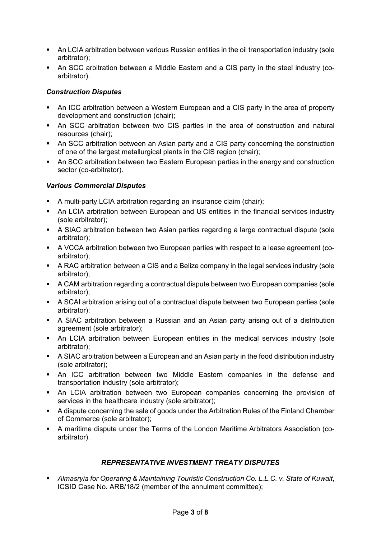- An LCIA arbitration between various Russian entities in the oil transportation industry (sole arbitrator);
- An SCC arbitration between a Middle Eastern and a CIS party in the steel industry (coarbitrator).

## *Construction Disputes*

- An ICC arbitration between a Western European and a CIS party in the area of property development and construction (chair);
- An SCC arbitration between two CIS parties in the area of construction and natural resources (chair);
- An SCC arbitration between an Asian party and a CIS party concerning the construction of one of the largest metallurgical plants in the CIS region (chair);
- An SCC arbitration between two Eastern European parties in the energy and construction sector (co-arbitrator).

#### *Various Commercial Disputes*

- A multi-party LCIA arbitration regarding an insurance claim (chair);
- An LCIA arbitration between European and US entities in the financial services industry (sole arbitrator);
- A SIAC arbitration between two Asian parties regarding a large contractual dispute (sole arbitrator);
- A VCCA arbitration between two European parties with respect to a lease agreement (coarbitrator);
- A RAC arbitration between a CIS and a Belize company in the legal services industry (sole arbitrator);
- A CAM arbitration regarding a contractual dispute between two European companies (sole arbitrator);
- A SCAI arbitration arising out of a contractual dispute between two European parties (sole arbitrator);
- A SIAC arbitration between a Russian and an Asian party arising out of a distribution agreement (sole arbitrator);
- An LCIA arbitration between European entities in the medical services industry (sole arbitrator);
- A SIAC arbitration between a European and an Asian party in the food distribution industry (sole arbitrator);
- An ICC arbitration between two Middle Eastern companies in the defense and transportation industry (sole arbitrator);
- An LCIA arbitration between two European companies concerning the provision of services in the healthcare industry (sole arbitrator);
- A dispute concerning the sale of goods under the Arbitration Rules of the Finland Chamber of Commerce (sole arbitrator);
- A maritime dispute under the Terms of the London Maritime Arbitrators Association (coarbitrator).

## *REPRESENTATIVE INVESTMENT TREATY DISPUTES*

 *Almasryia for Operating & Maintaining Touristic Construction Co. L.L.C. v. State of Kuwait*, ICSID Case No. ARB/18/2 (member of the annulment committee);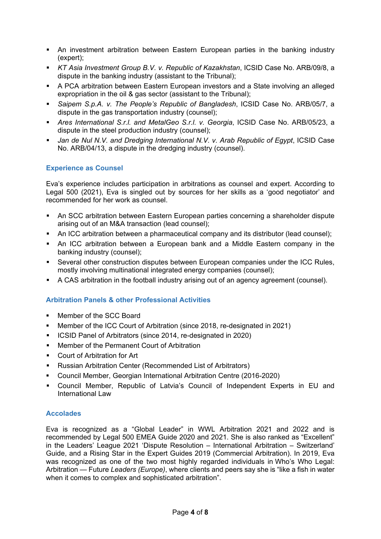- An investment arbitration between Eastern European parties in the banking industry (expert);
- *KT Asia Investment Group B.V. v. Republic of Kazakhstan*, ICSID Case No. ARB/09/8, a dispute in the banking industry (assistant to the Tribunal);
- A PCA arbitration between Eastern European investors and a State involving an alleged expropriation in the oil & gas sector (assistant to the Tribunal);
- *Saipem S.p.A. v. The People's Republic of Bangladesh*, ICSID Case No. ARB/05/7, a dispute in the gas transportation industry (counsel);
- *Ares International S.r.l. and MetalGeo S.r.l. v. Georgia*, ICSID Case No. ARB/05/23, a dispute in the steel production industry (counsel);
- *Jan de Nul N.V. and Dredging International N.V. v. Arab Republic of Egypt*, ICSID Case No. ARB/04/13, a dispute in the dredging industry (counsel).

## **Experience as Counsel**

Eva's experience includes participation in arbitrations as counsel and expert. According to Legal 500 (2021), Eva is singled out by sources for her skills as a 'good negotiator' and recommended for her work as counsel.

- An SCC arbitration between Eastern European parties concerning a shareholder dispute arising out of an M&A transaction (lead counsel);
- An ICC arbitration between a pharmaceutical company and its distributor (lead counsel);
- An ICC arbitration between a European bank and a Middle Eastern company in the banking industry (counsel);
- Several other construction disputes between European companies under the ICC Rules, mostly involving multinational integrated energy companies (counsel);
- A CAS arbitration in the football industry arising out of an agency agreement (counsel).

## **Arbitration Panels & other Professional Activities**

- Member of the SCC Board
- Member of the ICC Court of Arbitration (since 2018, re-designated in 2021)
- ICSID Panel of Arbitrators (since 2014, re-designated in 2020)
- Member of the Permanent Court of Arbitration
- Court of Arbitration for Art
- Russian Arbitration Center (Recommended List of Arbitrators)
- Council Member, Georgian International Arbitration Centre (2016-2020)
- Council Member, Republic of Latvia's Council of Independent Experts in EU and International Law

#### **Accolades**

Eva is recognized as a "Global Leader" in WWL Arbitration 2021 and 2022 and is recommended by Legal 500 EMEA Guide 2020 and 2021. She is also ranked as "Excellent" in the Leaders' League 2021 'Dispute Resolution – International Arbitration – Switzerland' Guide, and a Rising Star in the Expert Guides 2019 (Commercial Arbitration). In 2019, Eva was recognized as one of the two most highly regarded individuals in Who's Who Legal: Arbitration — Future *Leaders (Europe)*, where clients and peers say she is "like a fish in water when it comes to complex and sophisticated arbitration".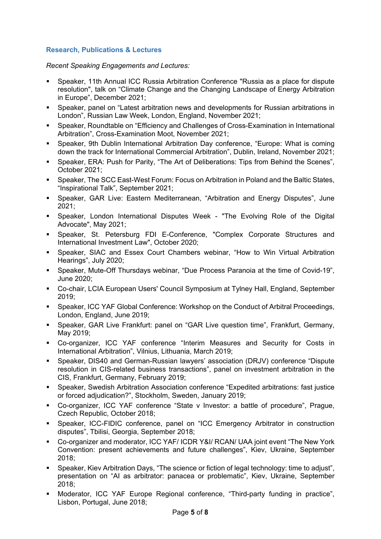# **Research, Publications & Lectures**

*Recent Speaking Engagements and Lectures:* 

- Speaker, 11th Annual ICC Russia Arbitration Conference "Russia as a place for dispute resolution", talk on "Climate Change and the Changing Landscape of Energy Arbitration in Europe", December 2021;
- Speaker, panel on "Latest arbitration news and developments for Russian arbitrations in London", Russian Law Week, London, England, November 2021;
- Speaker, Roundtable on "Efficiency and Challenges of Cross-Examination in International Arbitration", Cross-Examination Moot, November 2021;
- Speaker, 9th Dublin International Arbitration Day conference, "Europe: What is coming down the track for International Commercial Arbitration", Dublin, Ireland, November 2021;
- Speaker, ERA: Push for Parity, "The Art of Deliberations: Tips from Behind the Scenes", October 2021;
- Speaker, The SCC East-West Forum: Focus on Arbitration in Poland and the Baltic States, "Inspirational Talk", September 2021;
- Speaker, GAR Live: Eastern Mediterranean, "Arbitration and Energy Disputes", June 2021;
- Speaker, London International Disputes Week "The Evolving Role of the Digital Advocate", May 2021;
- Speaker, St. Petersburg FDI E-Conference, "Complex Corporate Structures and International Investment Law", October 2020;
- Speaker, SIAC and Essex Court Chambers webinar, "How to Win Virtual Arbitration Hearings", July 2020;
- Speaker, Mute-Off Thursdays webinar, "Due Process Paranoia at the time of Covid-19", June 2020;
- Co-chair, LCIA European Users' Council Symposium at Tylney Hall, England, September 2019;
- Speaker, ICC YAF Global Conference: Workshop on the Conduct of Arbitral Proceedings, London, England, June 2019;
- Speaker, GAR Live Frankfurt: panel on "GAR Live question time", Frankfurt, Germany, May 2019;
- Co-organizer, ICC YAF conference "Interim Measures and Security for Costs in International Arbitration", Vilnius, Lithuania, March 2019;
- Speaker, DIS40 and German-Russian lawyers' association (DRJV) conference "Dispute resolution in CIS-related business transactions", panel on investment arbitration in the CIS, Frankfurt, Germany, February 2019;
- Speaker, Swedish Arbitration Association conference "Expedited arbitrations: fast justice or forced adjudication?", Stockholm, Sweden, January 2019;
- Co-organizer, ICC YAF conference "State v Investor: a battle of procedure", Prague, Czech Republic, October 2018;
- Speaker, ICC-FIDIC conference, panel on "ICC Emergency Arbitrator in construction disputes", Tbilisi, Georgia, September 2018;
- Co-organizer and moderator, ICC YAF/ ICDR Y&I/ RCAN/ UAA joint event "The New York Convention: present achievements and future challenges", Kiev, Ukraine, September 2018;
- Speaker, Kiev Arbitration Days, "The science or fiction of legal technology: time to adjust", presentation on "AI as arbitrator: panacea or problematic", Kiev, Ukraine, September 2018;
- Moderator, ICC YAF Europe Regional conference, "Third-party funding in practice", Lisbon, Portugal, June 2018;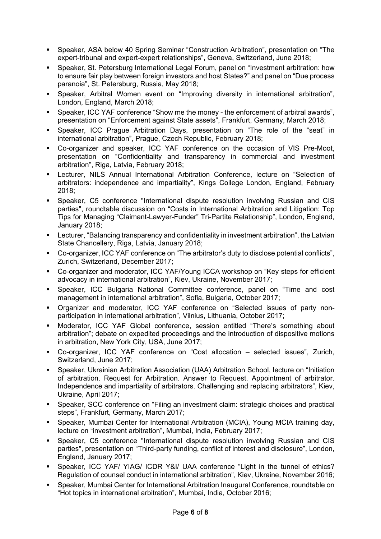- Speaker, ASA below 40 Spring Seminar "Construction Arbitration", presentation on "The expert-tribunal and expert-expert relationships", Geneva, Switzerland, June 2018;
- Speaker, St. Petersburg International Legal Forum, panel on "Investment arbitration: how to ensure fair play between foreign investors and host States?" and panel on "Due process paranoia", St. Petersburg, Russia, May 2018;
- Speaker, Arbitral Women event on "Improving diversity in international arbitration", London, England, March 2018;
- Speaker, ICC YAF conference "Show me the money the enforcement of arbitral awards", presentation on "Enforcement against State assets", Frankfurt, Germany, March 2018;
- Speaker, ICC Prague Arbitration Days, presentation on "The role of the "seat" in international arbitration", Prague, Czech Republic, February 2018;
- Co-organizer and speaker, ICC YAF conference on the occasion of VIS Pre-Moot, presentation on "Confidentiality and transparency in commercial and investment arbitration", Riga, Latvia, February 2018;
- Lecturer, NILS Annual International Arbitration Conference, lecture on "Selection of arbitrators: independence and impartiality", Kings College London, England, February 2018;
- Speaker, C5 conference "International dispute resolution involving Russian and CIS parties", roundtable discussion on "Costs in International Arbitration and Litigation: Top Tips for Managing "Claimant-Lawyer-Funder" Tri-Partite Relationship", London, England, January 2018;
- Lecturer, "Balancing transparency and confidentiality in investment arbitration", the Latvian State Chancellery, Riga, Latvia, January 2018;
- Co-organizer, ICC YAF conference on "The arbitrator's duty to disclose potential conflicts", Zurich, Switzerland, December 2017;
- Co-organizer and moderator, ICC YAF/Young ICCA workshop on "Key steps for efficient advocacy in international arbitration", Kiev, Ukraine, November 2017;
- Speaker, ICC Bulgaria National Committee conference, panel on "Time and cost management in international arbitration", Sofia, Bulgaria, October 2017;
- Organizer and moderator, ICC YAF conference on "Selected issues of party nonparticipation in international arbitration", Vilnius, Lithuania, October 2017;
- Moderator, ICC YAF Global conference, session entitled "There's something about arbitration"; debate on expedited proceedings and the introduction of dispositive motions in arbitration, New York City, USA, June 2017;
- Co-organizer, ICC YAF conference on "Cost allocation selected issues", Zurich, Switzerland, June 2017;
- Speaker, Ukrainian Arbitration Association (UAA) Arbitration School, lecture on "Initiation of arbitration. Request for Arbitration. Answer to Request. Appointment of arbitrator. Independence and impartiality of arbitrators. Challenging and replacing arbitrators", Kiev, Ukraine, April 2017;
- Speaker, SCC conference on "Filing an investment claim: strategic choices and practical steps", Frankfurt, Germany, March 2017;
- Speaker, Mumbai Center for International Arbitration (MCIA), Young MCIA training day, lecture on "investment arbitration", Mumbai, India, February 2017;
- Speaker, C5 conference "International dispute resolution involving Russian and CIS parties", presentation on "Third-party funding, conflict of interest and disclosure", London, England, January 2017;
- Speaker, ICC YAF/ YIAG/ ICDR Y&I/ UAA conference "Light in the tunnel of ethics? Regulation of counsel conduct in international arbitration", Kiev, Ukraine, November 2016;
- Speaker, Mumbai Center for International Arbitration Inaugural Conference, roundtable on "Hot topics in international arbitration", Mumbai, India, October 2016;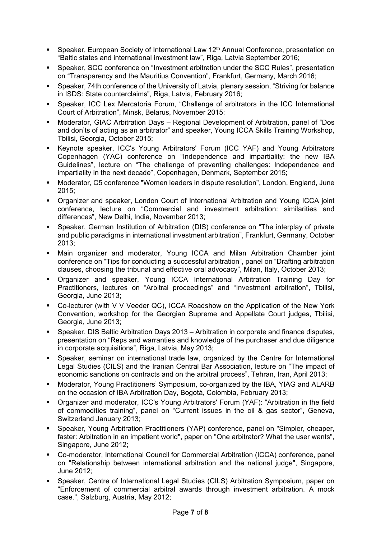- Speaker, European Society of International Law 12<sup>th</sup> Annual Conference, presentation on "Baltic states and international investment law", Riga, Latvia September 2016;
- Speaker, SCC conference on "Investment arbitration under the SCC Rules", presentation on "Transparency and the Mauritius Convention", Frankfurt, Germany, March 2016;
- Speaker, 74th conference of the University of Latvia, plenary session, "Striving for balance in ISDS: State counterclaims", Riga, Latvia, February 2016;
- Speaker, ICC Lex Mercatoria Forum, "Challenge of arbitrators in the ICC International Court of Arbitration", Minsk, Belarus, November 2015;
- Moderator, GIAC Arbitration Days Regional Development of Arbitration, panel of "Dos and don'ts of acting as an arbitrator" and speaker, Young ICCA Skills Training Workshop, Tbilisi, Georgia, October 2015;
- Keynote speaker, ICC's Young Arbitrators' Forum (ICC YAF) and Young Arbitrators Copenhagen (YAC) conference on "Independence and impartiality: the new IBA Guidelines", lecture on "The challenge of preventing challenges: Independence and impartiality in the next decade", Copenhagen, Denmark, September 2015;
- Moderator, C5 conference "Women leaders in dispute resolution", London, England, June 2015;
- Organizer and speaker, London Court of International Arbitration and Young ICCA joint conference, lecture on "Commercial and investment arbitration: similarities and differences", New Delhi, India, November 2013;
- Speaker, German Institution of Arbitration (DIS) conference on "The interplay of private and public paradigms in international investment arbitration", Frankfurt, Germany, October 2013;
- Main organizer and moderator, Young ICCA and Milan Arbitration Chamber joint conference on "Tips for conducting a successful arbitration", panel on "Drafting arbitration clauses, choosing the tribunal and effective oral advocacy", Milan, Italy, October 2013;
- Organizer and speaker, Young ICCA International Arbitration Training Day for Practitioners, lectures on "Arbitral proceedings" and "Investment arbitration", Tbilisi, Georgia, June 2013;
- Co-lecturer (with V V Veeder QC), ICCA Roadshow on the Application of the New York Convention, workshop for the Georgian Supreme and Appellate Court judges, Tbilisi, Georgia, June 2013;
- Speaker, DIS Baltic Arbitration Days 2013 Arbitration in corporate and finance disputes, presentation on "Reps and warranties and knowledge of the purchaser and due diligence in corporate acquisitions", Riga, Latvia, May 2013;
- Speaker, seminar on international trade law, organized by the Centre for International Legal Studies (CILS) and the Iranian Central Bar Association, lecture on "The impact of economic sanctions on contracts and on the arbitral process", Tehran, Iran, April 2013;
- Moderator, Young Practitioners' Symposium, co-organized by the IBA, YIAG and ALARB on the occasion of IBA Arbitration Day, Bogotà, Colombia, February 2013;
- Organizer and moderator, ICC's Young Arbitrators' Forum (YAF): "Arbitration in the field of commodities training", panel on "Current issues in the oil & gas sector", Geneva, Switzerland January 2013;
- Speaker, Young Arbitration Practitioners (YAP) conference, panel on "Simpler, cheaper, faster: Arbitration in an impatient world", paper on "One arbitrator? What the user wants", Singapore, June 2012;
- Co-moderator, International Council for Commercial Arbitration (ICCA) conference, panel on "Relationship between international arbitration and the national judge", Singapore, June 2012;
- Speaker, Centre of International Legal Studies (CILS) Arbitration Symposium, paper on "Enforcement of commercial arbitral awards through investment arbitration. A mock case.", Salzburg, Austria, May 2012;